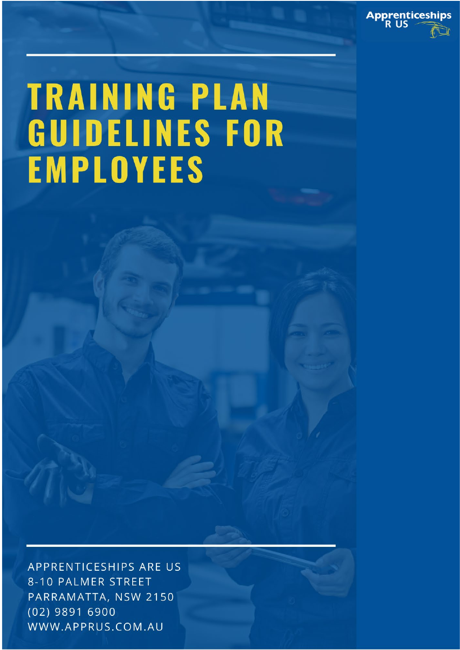

# **TRAINING PLAN GUIDELINES FOR EMPLOYEES**

APPRENTICESHIPS ARE US 8-10 PALMER STREET PARRAMATTA, NSW 2150 (02) 9891 6900 WWW.APPRUS.COM.AU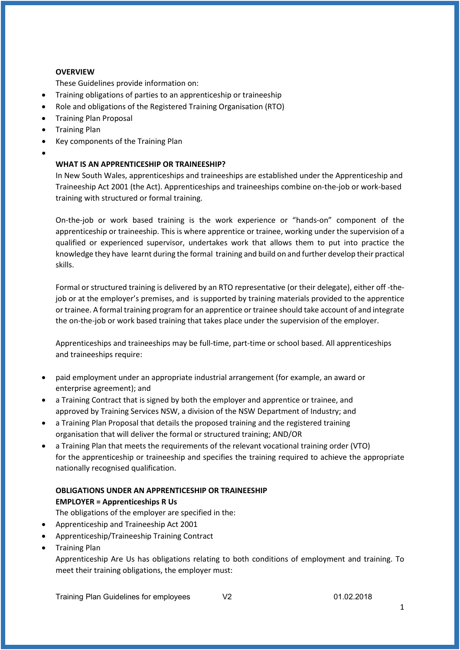# **OVERVIEW**

These Guidelines provide information on:

- Training obligations of parties to an apprenticeship or traineeship
- Role and obligations of the Registered Training Organisation (RTO)
- Training Plan Proposal
- Training Plan
- Key components of the Training Plan
- •

# **WHAT IS AN APPRENTICESHIP OR TRAINEESHIP?**

In New South Wales, apprenticeships and traineeships are established under the Apprenticeship and Traineeship Act 2001 (the Act). Apprenticeships and traineeships combine on-the-job or work-based training with structured or formal training.

On-the-job or work based training is the work experience or "hands-on" component of the apprenticeship or traineeship. This is where apprentice or trainee, working under the supervision of a qualified or experienced supervisor, undertakes work that allows them to put into practice the knowledge they have learnt during the formal training and build on and further develop their practical skills.

Formal or structured training is delivered by an RTO representative (or their delegate), either off -thejob or at the employer's premises, and is supported by training materials provided to the apprentice or trainee. A formal training program for an apprentice or trainee should take account of and integrate the on-the-job or work based training that takes place under the supervision of the employer.

Apprenticeships and traineeships may be full-time, part-time or school based. All apprenticeships and traineeships require:

- paid employment under an appropriate industrial arrangement (for example, an award or enterprise agreement); and
- a Training Contract that is signed by both the employer and apprentice or trainee, and approved by Training Services NSW, a division of the NSW Department of Industry; and
- a Training Plan Proposal that details the proposed training and the registered training organisation that will deliver the formal or structured training; AND/OR
- a Training Plan that meets the requirements of the relevant vocational training order (VTO) for the apprenticeship or traineeship and specifies the training required to achieve the appropriate nationally recognised qualification.

# **OBLIGATIONS UNDER AN APPRENTICESHIP OR TRAINEESHIP EMPLOYER = Apprenticeships R Us**

The obligations of the employer are specified in the:

- Apprenticeship and Traineeship Act 2001
- Apprenticeship/Traineeship Training Contract
- Training Plan

Apprenticeship Are Us has obligations relating to both conditions of employment and training. To meet their training obligations, the employer must: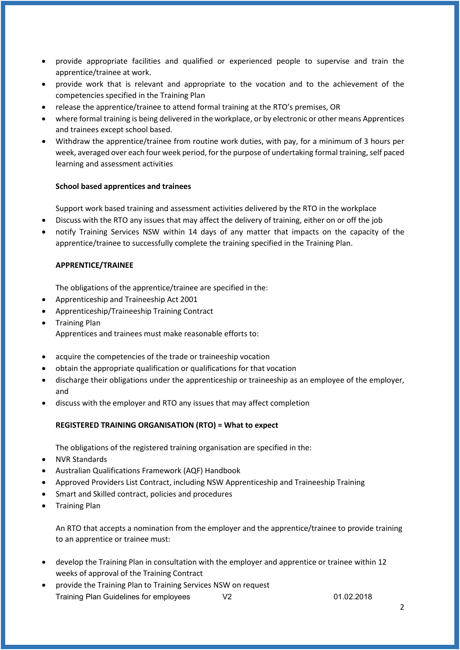- provide appropriate facilities and qualified or experienced people to supervise and train the apprentice/trainee at work.
- provide work that is relevant and appropriate to the vocation and to the achievement of the competencies specified in the Training Plan
- release the apprentice/trainee to attend formal training at the RTO's premises, OR
- where formal training is being delivered in the workplace, or by electronic or other means Apprentices and trainees except school based.
- Withdraw the apprentice/trainee from routine work duties, with pay, for a minimum of 3 hours per week, averaged over each four week period, for the purpose of undertaking formal training, self paced learning and assessment activities

# **School based apprentices and trainees**

Support work based training and assessment activities delivered by the RTO in the workplace

- Discuss with the RTO any issues that may affect the delivery of training, either on or off the job
- notify Training Services NSW within 14 days of any matter that impacts on the capacity of the apprentice/trainee to successfully complete the training specified in the Training Plan.

#### **APPRENTICE/TRAINEE**

The obligations of the apprentice/trainee are specified in the:

- Apprenticeship and Traineeship Act 2001
- Apprenticeship/Traineeship Training Contract
- Training Plan Apprentices and trainees must make reasonable efforts to:
- acquire the competencies of the trade or traineeship vocation
- obtain the appropriate qualification or qualifications for that vocation
- discharge their obligations under the apprenticeship or traineeship as an employee of the employer, and
- discuss with the employer and RTO any issues that may affect completion

# **REGISTERED TRAINING ORGANISATION (RTO) = What to expect**

The obligations of the registered training organisation are specified in the:

- NVR Standards
- Australian Qualifications Framework (AQF) Handbook
- Approved Providers List Contract, including NSW Apprenticeship and Traineeship Training
- Smart and Skilled contract, policies and procedures
- Training Plan

An RTO that accepts a nomination from the employer and the apprentice/trainee to provide training to an apprentice or trainee must:

- develop the Training Plan in consultation with the employer and apprentice or trainee within 12 weeks of approval of the Training Contract
- Training Plan Guidelines for employees V2 01.02.2018 • provide the Training Plan to Training Services NSW on request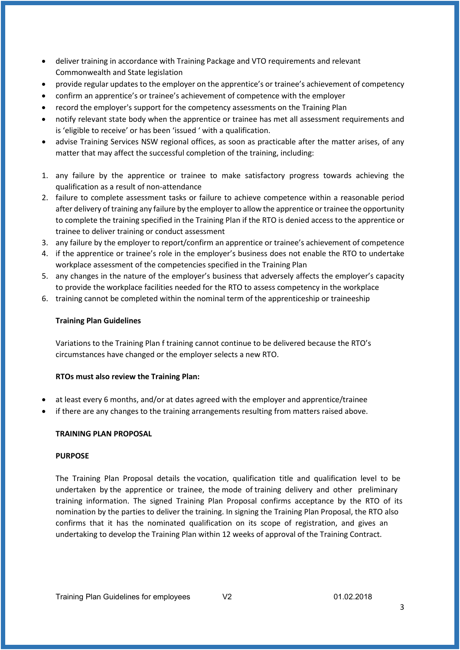- deliver training in accordance with Training Package and VTO requirements and relevant Commonwealth and State legislation
- provide regular updates to the employer on the apprentice's or trainee's achievement of competency
- confirm an apprentice's or trainee's achievement of competence with the employer
- record the employer's support for the competency assessments on the Training Plan
- notify relevant state body when the apprentice or trainee has met all assessment requirements and is 'eligible to receive' or has been 'issued ' with a qualification.
- advise Training Services NSW regional offices, as soon as practicable after the matter arises, of any matter that may affect the successful completion of the training, including:
- 1. any failure by the apprentice or trainee to make satisfactory progress towards achieving the qualification as a result of non-attendance
- 2. failure to complete assessment tasks or failure to achieve competence within a reasonable period after delivery of training any failure by the employer to allow the apprentice or trainee the opportunity to complete the training specified in the Training Plan if the RTO is denied access to the apprentice or trainee to deliver training or conduct assessment
- 3. any failure by the employer to report/confirm an apprentice or trainee's achievement of competence
- 4. if the apprentice or trainee's role in the employer's business does not enable the RTO to undertake workplace assessment of the competencies specified in the Training Plan
- 5. any changes in the nature of the employer's business that adversely affects the employer's capacity to provide the workplace facilities needed for the RTO to assess competency in the workplace
- 6. training cannot be completed within the nominal term of the apprenticeship or traineeship

#### **Training Plan Guidelines**

Variations to the Training Plan f training cannot continue to be delivered because the RTO's circumstances have changed or the employer selects a new RTO.

#### **RTOs must also review the Training Plan:**

- at least every 6 months, and/or at dates agreed with the employer and apprentice/trainee
- if there are any changes to the training arrangements resulting from matters raised above.

# **TRAINING PLAN PROPOSAL**

#### **PURPOSE**

The Training Plan Proposal details the vocation, qualification title and qualification level to be undertaken by the apprentice or trainee, the mode of training delivery and other preliminary training information. The signed Training Plan Proposal confirms acceptance by the RTO of its nomination by the parties to deliver the training. In signing the Training Plan Proposal, the RTO also confirms that it has the nominated qualification on its scope of registration, and gives an undertaking to develop the Training Plan within 12 weeks of approval of the Training Contract.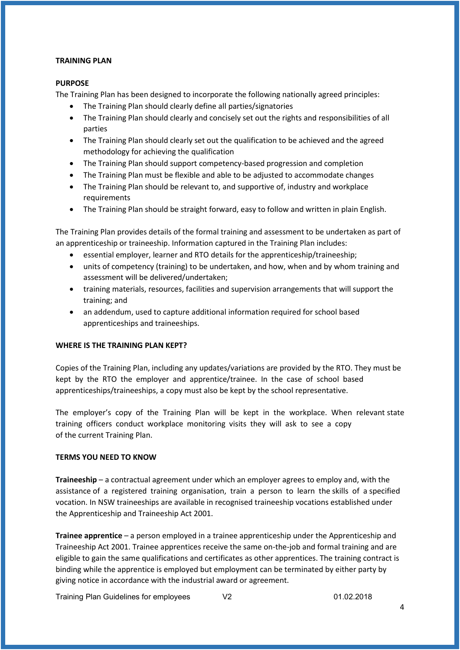#### **TRAINING PLAN**

### **PURPOSE**

The Training Plan has been designed to incorporate the following nationally agreed principles:

- The Training Plan should clearly define all parties/signatories
- The Training Plan should clearly and concisely set out the rights and responsibilities of all parties
- The Training Plan should clearly set out the qualification to be achieved and the agreed methodology for achieving the qualification
- The Training Plan should support competency-based progression and completion
- The Training Plan must be flexible and able to be adjusted to accommodate changes
- The Training Plan should be relevant to, and supportive of, industry and workplace requirements
- The Training Plan should be straight forward, easy to follow and written in plain English.

The Training Plan provides details of the formal training and assessment to be undertaken as part of an apprenticeship or traineeship. Information captured in the Training Plan includes:

- essential employer, learner and RTO details for the apprenticeship/traineeship;
- units of competency (training) to be undertaken, and how, when and by whom training and assessment will be delivered/undertaken;
- training materials, resources, facilities and supervision arrangements that will support the training; and
- an addendum, used to capture additional information required for school based apprenticeships and traineeships.

# **WHERE IS THE TRAINING PLAN KEPT?**

Copies of the Training Plan, including any updates/variations are provided by the RTO. They must be kept by the RTO the employer and apprentice/trainee. In the case of school based apprenticeships/traineeships, a copy must also be kept by the school representative.

The employer's copy of the Training Plan will be kept in the workplace. When relevant state training officers conduct workplace monitoring visits they will ask to see a copy of the current Training Plan.

# **TERMS YOU NEED TO KNOW**

**Traineeship** – a contractual agreement under which an employer agrees to employ and, with the assistance of a registered training organisation, train a person to learn the skills of a specified vocation. In NSW traineeships are available in recognised traineeship vocations established under the Apprenticeship and Traineeship Act 2001.

**Trainee apprentice** – a person employed in a trainee apprenticeship under the Apprenticeship and Traineeship Act 2001. Trainee apprentices receive the same on-the-job and formal training and are eligible to gain the same qualifications and certificates as other apprentices. The training contract is binding while the apprentice is employed but employment can be terminated by either party by giving notice in accordance with the industrial award or agreement.

Training Plan Guidelines for employees V2 01.02.2018